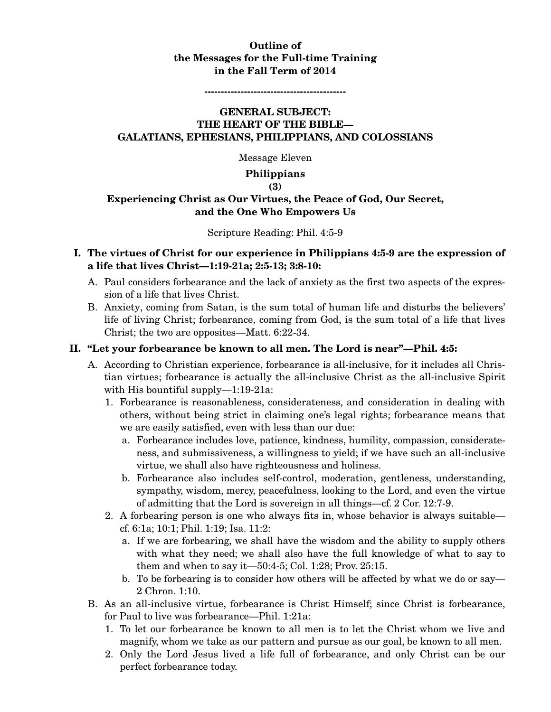# **Outline of the Messages for the Full-time Training in the Fall Term of 2014**

#### **-------------------------------------------**

# **GENERAL SUBJECT: THE HEART OF THE BIBLE— GALATIANS, EPHESIANS, PHILIPPIANS, AND COLOSSIANS**

Message Eleven

**Philippians** 

#### **(3)**

# **Experiencing Christ as Our Virtues, the Peace of God, Our Secret, and the One Who Empowers Us**

#### Scripture Reading: Phil. 4:5-9

## **I. The virtues of Christ for our experience in Philippians 4:5-9 are the expression of a life that lives Christ—1:19-21a; 2:5-13; 3:8-10:**

- A. Paul considers forbearance and the lack of anxiety as the first two aspects of the expression of a life that lives Christ.
- B. Anxiety, coming from Satan, is the sum total of human life and disturbs the believers' life of living Christ; forbearance, coming from God, is the sum total of a life that lives Christ; the two are opposites—Matt. 6:22-34.

### **II. "Let your forbearance be known to all men. The Lord is near"—Phil. 4:5:**

- A. According to Christian experience, forbearance is all-inclusive, for it includes all Christian virtues; forbearance is actually the all-inclusive Christ as the all-inclusive Spirit with His bountiful supply—1:19-21a:
	- 1. Forbearance is reasonableness, considerateness, and consideration in dealing with others, without being strict in claiming one's legal rights; forbearance means that we are easily satisfied, even with less than our due:
		- a. Forbearance includes love, patience, kindness, humility, compassion, considerateness, and submissiveness, a willingness to yield; if we have such an all-inclusive virtue, we shall also have righteousness and holiness.
		- b. Forbearance also includes self-control, moderation, gentleness, understanding, sympathy, wisdom, mercy, peacefulness, looking to the Lord, and even the virtue of admitting that the Lord is sovereign in all things—cf. 2 Cor. 12:7-9.
	- 2. A forbearing person is one who always fits in, whose behavior is always suitable cf. 6:1a; 10:1; Phil. 1:19; Isa. 11:2:
		- a. If we are forbearing, we shall have the wisdom and the ability to supply others with what they need; we shall also have the full knowledge of what to say to them and when to say it—50:4-5; Col. 1:28; Prov. 25:15.
		- b. To be forbearing is to consider how others will be affected by what we do or say— 2 Chron. 1:10.
- B. As an all-inclusive virtue, forbearance is Christ Himself; since Christ is forbearance, for Paul to live was forbearance—Phil. 1:21a:
	- 1. To let our forbearance be known to all men is to let the Christ whom we live and magnify, whom we take as our pattern and pursue as our goal, be known to all men.
	- 2. Only the Lord Jesus lived a life full of forbearance, and only Christ can be our perfect forbearance today.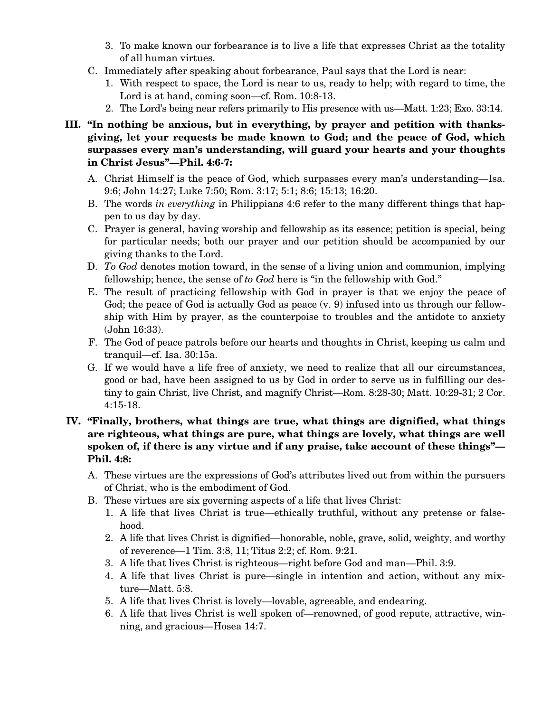- 3. To make known our forbearance is to live a life that expresses Christ as the totality of all human virtues.
- C. Immediately after speaking about forbearance, Paul says that the Lord is near:
	- 1. With respect to space, the Lord is near to us, ready to help; with regard to time, the Lord is at hand, coming soon—cf. Rom. 10:8-13.
	- 2. The Lord's being near refers primarily to His presence with us—Matt. 1:23; Exo. 33:14.
- **III. "In nothing be anxious, but in everything, by prayer and petition with thanksgiving, let your requests be made known to God; and the peace of God, which surpasses every man's understanding, will guard your hearts and your thoughts in Christ Jesus"—Phil. 4:6-7:** 
	- A. Christ Himself is the peace of God, which surpasses every man's understanding—Isa. 9:6; John 14:27; Luke 7:50; Rom. 3:17; 5:1; 8:6; 15:13; 16:20.
	- B. The words *in everything* in Philippians 4:6 refer to the many different things that happen to us day by day.
	- C. Prayer is general, having worship and fellowship as its essence; petition is special, being for particular needs; both our prayer and our petition should be accompanied by our giving thanks to the Lord.
	- D. *To God* denotes motion toward, in the sense of a living union and communion, implying fellowship; hence, the sense of *to God* here is "in the fellowship with God."
	- E. The result of practicing fellowship with God in prayer is that we enjoy the peace of God; the peace of God is actually God as peace  $(v, 9)$  infused into us through our fellowship with Him by prayer, as the counterpoise to troubles and the antidote to anxiety (John 16:33).
	- F. The God of peace patrols before our hearts and thoughts in Christ, keeping us calm and tranquil—cf. Isa. 30:15a.
	- G. If we would have a life free of anxiety, we need to realize that all our circumstances, good or bad, have been assigned to us by God in order to serve us in fulfilling our destiny to gain Christ, live Christ, and magnify Christ—Rom. 8:28-30; Matt. 10:29-31; 2 Cor. 4:15-18.
- **IV. "Finally, brothers, what things are true, what things are dignified, what things are righteous, what things are pure, what things are lovely, what things are well spoken of, if there is any virtue and if any praise, take account of these things"— Phil. 4:8:** 
	- A. These virtues are the expressions of God's attributes lived out from within the pursuers of Christ, who is the embodiment of God.
	- B. These virtues are six governing aspects of a life that lives Christ:
		- 1. A life that lives Christ is true—ethically truthful, without any pretense or falsehood.
		- 2. A life that lives Christ is dignified—honorable, noble, grave, solid, weighty, and worthy of reverence—1 Tim. 3:8, 11; Titus 2:2; cf. Rom. 9:21.
		- 3. A life that lives Christ is righteous—right before God and man—Phil. 3:9.
		- 4. A life that lives Christ is pure—single in intention and action, without any mixture—Matt. 5:8.
		- 5. A life that lives Christ is lovely—lovable, agreeable, and endearing.
		- 6. A life that lives Christ is well spoken of—renowned, of good repute, attractive, winning, and gracious—Hosea 14:7.